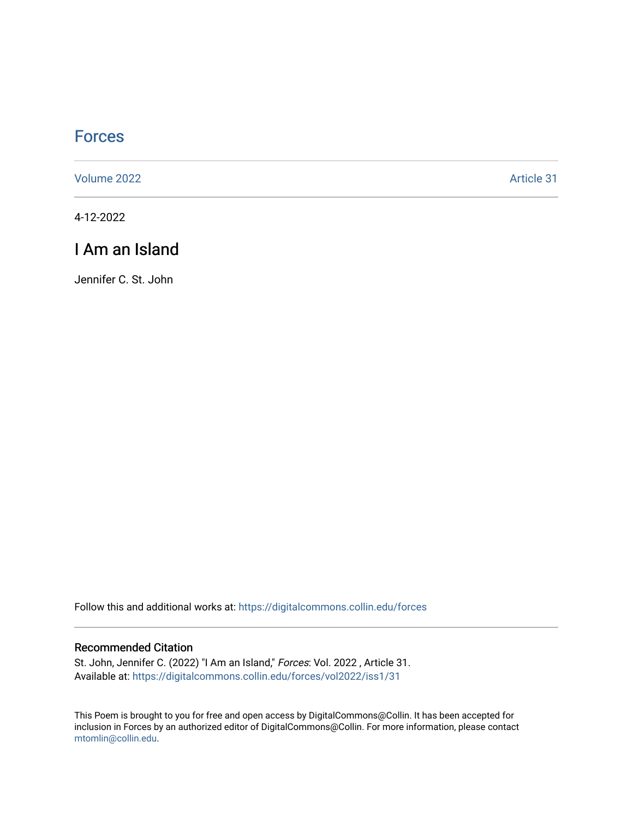## **[Forces](https://digitalcommons.collin.edu/forces)**

[Volume 2022](https://digitalcommons.collin.edu/forces/vol2022) [Article 31](https://digitalcommons.collin.edu/forces/vol2022/iss1/31) 

4-12-2022

## I Am an Island

Jennifer C. St. John

Follow this and additional works at: [https://digitalcommons.collin.edu/forces](https://digitalcommons.collin.edu/forces?utm_source=digitalcommons.collin.edu%2Fforces%2Fvol2022%2Fiss1%2F31&utm_medium=PDF&utm_campaign=PDFCoverPages)

## Recommended Citation

St. John, Jennifer C. (2022) "I Am an Island," Forces: Vol. 2022 , Article 31. Available at: [https://digitalcommons.collin.edu/forces/vol2022/iss1/31](https://digitalcommons.collin.edu/forces/vol2022/iss1/31?utm_source=digitalcommons.collin.edu%2Fforces%2Fvol2022%2Fiss1%2F31&utm_medium=PDF&utm_campaign=PDFCoverPages) 

This Poem is brought to you for free and open access by DigitalCommons@Collin. It has been accepted for inclusion in Forces by an authorized editor of DigitalCommons@Collin. For more information, please contact [mtomlin@collin.edu.](mailto:mtomlin@collin.edu)